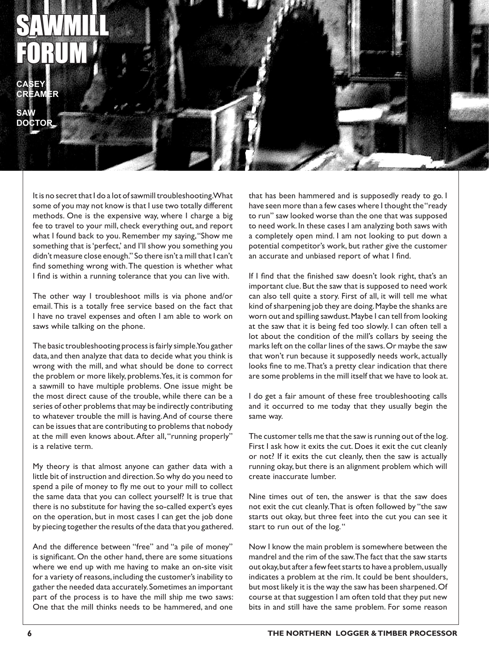## SAWMILL FORUM

**CASEY CREAMER**

**SAW DOCTOR**

> It is no secret that I do a lot of sawmill troubleshooting. What some of you may not know is that I use two totally different methods. One is the expensive way, where I charge a big fee to travel to your mill, check everything out, and report what I found back to you. Remember my saying, "Show me something that is 'perfect,' and I'll show you something you didn't measure close enough." So there isn't a mill that I can't find something wrong with. The question is whether what I find is within a running tolerance that you can live with.

> The other way I troubleshoot mills is via phone and/or email. This is a totally free service based on the fact that I have no travel expenses and often I am able to work on saws while talking on the phone.

> The basic troubleshooting process is fairly simple. You gather data, and then analyze that data to decide what you think is wrong with the mill, and what should be done to correct the problem or more likely, problems. Yes, it is common for a sawmill to have multiple problems. One issue might be the most direct cause of the trouble, while there can be a series of other problems that may be indirectly contributing to whatever trouble the mill is having. And of course there can be issues that are contributing to problems that nobody at the mill even knows about. After all, "running properly" is a relative term.

> My theory is that almost anyone can gather data with a little bit of instruction and direction. So why do you need to spend a pile of money to fly me out to your mill to collect the same data that you can collect yourself? It is true that there is no substitute for having the so-called expert's eyes on the operation, but in most cases I can get the job done by piecing together the results of the data that you gathered.

> And the difference between "free" and "a pile of money" is significant. On the other hand, there are some situations where we end up with me having to make an on-site visit for a variety of reasons, including the customer's inability to gather the needed data accurately. Sometimes an important part of the process is to have the mill ship me two saws: One that the mill thinks needs to be hammered, and one

that has been hammered and is supposedly ready to go. I have seen more than a few cases where I thought the "ready to run" saw looked worse than the one that was supposed to need work. In these cases I am analyzing both saws with a completely open mind. I am not looking to put down a potential competitor's work, but rather give the customer an accurate and unbiased report of what I find.

If I find that the finished saw doesn't look right, that's an important clue. But the saw that is supposed to need work can also tell quite a story. First of all, it will tell me what kind of sharpening job they are doing. Maybe the shanks are worn out and spilling sawdust. Maybe I can tell from looking at the saw that it is being fed too slowly. I can often tell a lot about the condition of the mill's collars by seeing the marks left on the collar lines of the saws. Or maybe the saw that won't run because it supposedly needs work, actually looks fine to me. That's a pretty clear indication that there are some problems in the mill itself that we have to look at.

I do get a fair amount of these free troubleshooting calls and it occurred to me today that they usually begin the same way.

The customer tells me that the saw is running out of the log. First I ask how it exits the cut. Does it exit the cut cleanly or not? If it exits the cut cleanly, then the saw is actually running okay, but there is an alignment problem which will create inaccurate lumber.

Nine times out of ten, the answer is that the saw does not exit the cut cleanly. That is often followed by "the saw starts out okay, but three feet into the cut you can see it start to run out of the log. "

Now I know the main problem is somewhere between the mandrel and the rim of the saw. The fact that the saw starts out okay, but after a few feet starts to have a problem, usually indicates a problem at the rim. It could be bent shoulders, but most likely it is the way the saw has been sharpened. Of course at that suggestion I am often told that they put new bits in and still have the same problem. For some reason